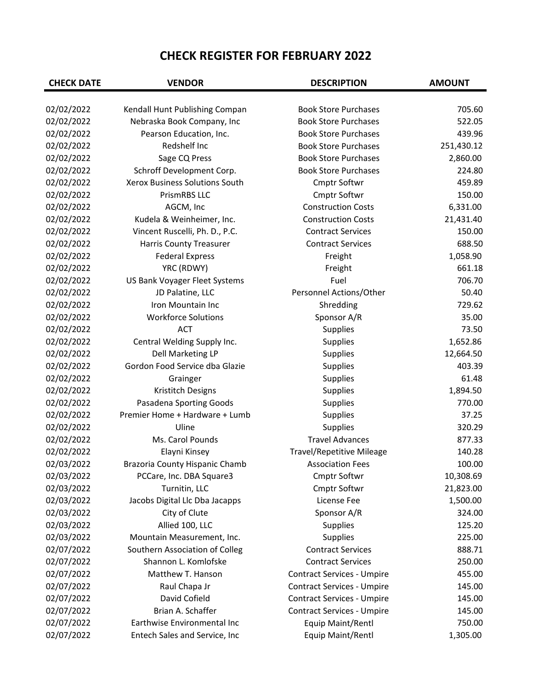| 02/02/2022<br>Kendall Hunt Publishing Compan<br><b>Book Store Purchases</b><br>705.60<br>02/02/2022<br><b>Book Store Purchases</b><br>522.05<br>Nebraska Book Company, Inc<br>02/02/2022<br>439.96<br>Pearson Education, Inc.<br><b>Book Store Purchases</b><br>02/02/2022<br>Redshelf Inc<br><b>Book Store Purchases</b><br>251,430.12<br>02/02/2022<br>Sage CQ Press<br><b>Book Store Purchases</b><br>2,860.00<br>02/02/2022<br>224.80<br>Schroff Development Corp.<br><b>Book Store Purchases</b><br>02/02/2022<br>Xerox Business Solutions South<br>459.89<br><b>Cmptr Softwr</b><br>02/02/2022<br><b>PrismRBS LLC</b><br>150.00<br>Cmptr Softwr<br>02/02/2022<br>AGCM, Inc<br><b>Construction Costs</b><br>6,331.00<br>02/02/2022<br>Kudela & Weinheimer, Inc.<br><b>Construction Costs</b><br>21,431.40<br>02/02/2022<br>Vincent Ruscelli, Ph. D., P.C.<br>150.00<br><b>Contract Services</b><br>02/02/2022<br>688.50<br>Harris County Treasurer<br><b>Contract Services</b><br>02/02/2022<br>1,058.90<br><b>Federal Express</b><br>Freight<br>02/02/2022<br>YRC (RDWY)<br>661.18<br>Freight<br>02/02/2022<br>US Bank Voyager Fleet Systems<br>Fuel<br>706.70<br>50.40<br>02/02/2022<br>Personnel Actions/Other<br>JD Palatine, LLC<br>02/02/2022<br>Shredding<br>729.62<br>Iron Mountain Inc<br>02/02/2022<br><b>Workforce Solutions</b><br>Sponsor A/R<br>35.00<br>02/02/2022<br>73.50<br><b>ACT</b><br>Supplies<br>02/02/2022<br>1,652.86<br>Central Welding Supply Inc.<br>Supplies<br>02/02/2022<br>Dell Marketing LP<br><b>Supplies</b><br>12,664.50<br>02/02/2022<br>Gordon Food Service dba Glazie<br>Supplies<br>403.39<br>02/02/2022<br>61.48<br>Grainger<br>Supplies<br>02/02/2022<br>Kristitch Designs<br>Supplies<br>1,894.50<br>02/02/2022<br>Pasadena Sporting Goods<br>770.00<br>Supplies<br>02/02/2022<br>Premier Home + Hardware + Lumb<br>Supplies<br>37.25<br>02/02/2022<br>Supplies<br>320.29<br>Uline<br>02/02/2022<br>Ms. Carol Pounds<br><b>Travel Advances</b><br>877.33<br>02/02/2022<br>Elayni Kinsey<br><b>Travel/Repetitive Mileage</b><br>140.28<br>02/03/2022<br>100.00<br>Brazoria County Hispanic Chamb<br><b>Association Fees</b><br>02/03/2022<br>PCCare, Inc. DBA Square3<br><b>Cmptr Softwr</b><br>10,308.69<br>02/03/2022<br>Turnitin, LLC<br>Cmptr Softwr<br>21,823.00<br>02/03/2022<br>Jacobs Digital Llc Dba Jacapps<br>License Fee<br>1,500.00<br>02/03/2022<br>Sponsor A/R<br>City of Clute<br>324.00<br>02/03/2022<br>Allied 100, LLC<br><b>Supplies</b><br>125.20<br>02/03/2022<br>Mountain Measurement, Inc.<br><b>Supplies</b><br>225.00<br>02/07/2022<br>Southern Association of Colleg<br>888.71<br><b>Contract Services</b><br>Shannon L. Komlofske<br>02/07/2022<br><b>Contract Services</b><br>250.00<br>02/07/2022<br>Matthew T. Hanson<br><b>Contract Services - Umpire</b><br>455.00<br>02/07/2022<br>Raul Chapa Jr<br><b>Contract Services - Umpire</b><br>145.00<br>David Cofield<br>02/07/2022<br><b>Contract Services - Umpire</b><br>145.00<br>02/07/2022<br>Brian A. Schaffer<br><b>Contract Services - Umpire</b><br>145.00<br>02/07/2022<br>Earthwise Environmental Inc<br>Equip Maint/Rentl<br>750.00<br>02/07/2022<br>Entech Sales and Service, Inc<br>Equip Maint/Rentl<br>1,305.00 | <b>CHECK DATE</b> | <b>VENDOR</b> | <b>DESCRIPTION</b> | <b>AMOUNT</b> |
|--------------------------------------------------------------------------------------------------------------------------------------------------------------------------------------------------------------------------------------------------------------------------------------------------------------------------------------------------------------------------------------------------------------------------------------------------------------------------------------------------------------------------------------------------------------------------------------------------------------------------------------------------------------------------------------------------------------------------------------------------------------------------------------------------------------------------------------------------------------------------------------------------------------------------------------------------------------------------------------------------------------------------------------------------------------------------------------------------------------------------------------------------------------------------------------------------------------------------------------------------------------------------------------------------------------------------------------------------------------------------------------------------------------------------------------------------------------------------------------------------------------------------------------------------------------------------------------------------------------------------------------------------------------------------------------------------------------------------------------------------------------------------------------------------------------------------------------------------------------------------------------------------------------------------------------------------------------------------------------------------------------------------------------------------------------------------------------------------------------------------------------------------------------------------------------------------------------------------------------------------------------------------------------------------------------------------------------------------------------------------------------------------------------------------------------------------------------------------------------------------------------------------------------------------------------------------------------------------------------------------------------------------------------------------------------------------------------------------------------------------------------------------------------------------------------------------------------------------------------------------------------------------------------------------------------------------------------------------------------------------------------------------------------------------------------------------------------------------------------------------------------------------------------------------------------------------------------------------------------------------------------|-------------------|---------------|--------------------|---------------|
|                                                                                                                                                                                                                                                                                                                                                                                                                                                                                                                                                                                                                                                                                                                                                                                                                                                                                                                                                                                                                                                                                                                                                                                                                                                                                                                                                                                                                                                                                                                                                                                                                                                                                                                                                                                                                                                                                                                                                                                                                                                                                                                                                                                                                                                                                                                                                                                                                                                                                                                                                                                                                                                                                                                                                                                                                                                                                                                                                                                                                                                                                                                                                                                                                                                              |                   |               |                    |               |
|                                                                                                                                                                                                                                                                                                                                                                                                                                                                                                                                                                                                                                                                                                                                                                                                                                                                                                                                                                                                                                                                                                                                                                                                                                                                                                                                                                                                                                                                                                                                                                                                                                                                                                                                                                                                                                                                                                                                                                                                                                                                                                                                                                                                                                                                                                                                                                                                                                                                                                                                                                                                                                                                                                                                                                                                                                                                                                                                                                                                                                                                                                                                                                                                                                                              |                   |               |                    |               |
|                                                                                                                                                                                                                                                                                                                                                                                                                                                                                                                                                                                                                                                                                                                                                                                                                                                                                                                                                                                                                                                                                                                                                                                                                                                                                                                                                                                                                                                                                                                                                                                                                                                                                                                                                                                                                                                                                                                                                                                                                                                                                                                                                                                                                                                                                                                                                                                                                                                                                                                                                                                                                                                                                                                                                                                                                                                                                                                                                                                                                                                                                                                                                                                                                                                              |                   |               |                    |               |
|                                                                                                                                                                                                                                                                                                                                                                                                                                                                                                                                                                                                                                                                                                                                                                                                                                                                                                                                                                                                                                                                                                                                                                                                                                                                                                                                                                                                                                                                                                                                                                                                                                                                                                                                                                                                                                                                                                                                                                                                                                                                                                                                                                                                                                                                                                                                                                                                                                                                                                                                                                                                                                                                                                                                                                                                                                                                                                                                                                                                                                                                                                                                                                                                                                                              |                   |               |                    |               |
|                                                                                                                                                                                                                                                                                                                                                                                                                                                                                                                                                                                                                                                                                                                                                                                                                                                                                                                                                                                                                                                                                                                                                                                                                                                                                                                                                                                                                                                                                                                                                                                                                                                                                                                                                                                                                                                                                                                                                                                                                                                                                                                                                                                                                                                                                                                                                                                                                                                                                                                                                                                                                                                                                                                                                                                                                                                                                                                                                                                                                                                                                                                                                                                                                                                              |                   |               |                    |               |
|                                                                                                                                                                                                                                                                                                                                                                                                                                                                                                                                                                                                                                                                                                                                                                                                                                                                                                                                                                                                                                                                                                                                                                                                                                                                                                                                                                                                                                                                                                                                                                                                                                                                                                                                                                                                                                                                                                                                                                                                                                                                                                                                                                                                                                                                                                                                                                                                                                                                                                                                                                                                                                                                                                                                                                                                                                                                                                                                                                                                                                                                                                                                                                                                                                                              |                   |               |                    |               |
|                                                                                                                                                                                                                                                                                                                                                                                                                                                                                                                                                                                                                                                                                                                                                                                                                                                                                                                                                                                                                                                                                                                                                                                                                                                                                                                                                                                                                                                                                                                                                                                                                                                                                                                                                                                                                                                                                                                                                                                                                                                                                                                                                                                                                                                                                                                                                                                                                                                                                                                                                                                                                                                                                                                                                                                                                                                                                                                                                                                                                                                                                                                                                                                                                                                              |                   |               |                    |               |
|                                                                                                                                                                                                                                                                                                                                                                                                                                                                                                                                                                                                                                                                                                                                                                                                                                                                                                                                                                                                                                                                                                                                                                                                                                                                                                                                                                                                                                                                                                                                                                                                                                                                                                                                                                                                                                                                                                                                                                                                                                                                                                                                                                                                                                                                                                                                                                                                                                                                                                                                                                                                                                                                                                                                                                                                                                                                                                                                                                                                                                                                                                                                                                                                                                                              |                   |               |                    |               |
|                                                                                                                                                                                                                                                                                                                                                                                                                                                                                                                                                                                                                                                                                                                                                                                                                                                                                                                                                                                                                                                                                                                                                                                                                                                                                                                                                                                                                                                                                                                                                                                                                                                                                                                                                                                                                                                                                                                                                                                                                                                                                                                                                                                                                                                                                                                                                                                                                                                                                                                                                                                                                                                                                                                                                                                                                                                                                                                                                                                                                                                                                                                                                                                                                                                              |                   |               |                    |               |
|                                                                                                                                                                                                                                                                                                                                                                                                                                                                                                                                                                                                                                                                                                                                                                                                                                                                                                                                                                                                                                                                                                                                                                                                                                                                                                                                                                                                                                                                                                                                                                                                                                                                                                                                                                                                                                                                                                                                                                                                                                                                                                                                                                                                                                                                                                                                                                                                                                                                                                                                                                                                                                                                                                                                                                                                                                                                                                                                                                                                                                                                                                                                                                                                                                                              |                   |               |                    |               |
|                                                                                                                                                                                                                                                                                                                                                                                                                                                                                                                                                                                                                                                                                                                                                                                                                                                                                                                                                                                                                                                                                                                                                                                                                                                                                                                                                                                                                                                                                                                                                                                                                                                                                                                                                                                                                                                                                                                                                                                                                                                                                                                                                                                                                                                                                                                                                                                                                                                                                                                                                                                                                                                                                                                                                                                                                                                                                                                                                                                                                                                                                                                                                                                                                                                              |                   |               |                    |               |
|                                                                                                                                                                                                                                                                                                                                                                                                                                                                                                                                                                                                                                                                                                                                                                                                                                                                                                                                                                                                                                                                                                                                                                                                                                                                                                                                                                                                                                                                                                                                                                                                                                                                                                                                                                                                                                                                                                                                                                                                                                                                                                                                                                                                                                                                                                                                                                                                                                                                                                                                                                                                                                                                                                                                                                                                                                                                                                                                                                                                                                                                                                                                                                                                                                                              |                   |               |                    |               |
|                                                                                                                                                                                                                                                                                                                                                                                                                                                                                                                                                                                                                                                                                                                                                                                                                                                                                                                                                                                                                                                                                                                                                                                                                                                                                                                                                                                                                                                                                                                                                                                                                                                                                                                                                                                                                                                                                                                                                                                                                                                                                                                                                                                                                                                                                                                                                                                                                                                                                                                                                                                                                                                                                                                                                                                                                                                                                                                                                                                                                                                                                                                                                                                                                                                              |                   |               |                    |               |
|                                                                                                                                                                                                                                                                                                                                                                                                                                                                                                                                                                                                                                                                                                                                                                                                                                                                                                                                                                                                                                                                                                                                                                                                                                                                                                                                                                                                                                                                                                                                                                                                                                                                                                                                                                                                                                                                                                                                                                                                                                                                                                                                                                                                                                                                                                                                                                                                                                                                                                                                                                                                                                                                                                                                                                                                                                                                                                                                                                                                                                                                                                                                                                                                                                                              |                   |               |                    |               |
|                                                                                                                                                                                                                                                                                                                                                                                                                                                                                                                                                                                                                                                                                                                                                                                                                                                                                                                                                                                                                                                                                                                                                                                                                                                                                                                                                                                                                                                                                                                                                                                                                                                                                                                                                                                                                                                                                                                                                                                                                                                                                                                                                                                                                                                                                                                                                                                                                                                                                                                                                                                                                                                                                                                                                                                                                                                                                                                                                                                                                                                                                                                                                                                                                                                              |                   |               |                    |               |
|                                                                                                                                                                                                                                                                                                                                                                                                                                                                                                                                                                                                                                                                                                                                                                                                                                                                                                                                                                                                                                                                                                                                                                                                                                                                                                                                                                                                                                                                                                                                                                                                                                                                                                                                                                                                                                                                                                                                                                                                                                                                                                                                                                                                                                                                                                                                                                                                                                                                                                                                                                                                                                                                                                                                                                                                                                                                                                                                                                                                                                                                                                                                                                                                                                                              |                   |               |                    |               |
|                                                                                                                                                                                                                                                                                                                                                                                                                                                                                                                                                                                                                                                                                                                                                                                                                                                                                                                                                                                                                                                                                                                                                                                                                                                                                                                                                                                                                                                                                                                                                                                                                                                                                                                                                                                                                                                                                                                                                                                                                                                                                                                                                                                                                                                                                                                                                                                                                                                                                                                                                                                                                                                                                                                                                                                                                                                                                                                                                                                                                                                                                                                                                                                                                                                              |                   |               |                    |               |
|                                                                                                                                                                                                                                                                                                                                                                                                                                                                                                                                                                                                                                                                                                                                                                                                                                                                                                                                                                                                                                                                                                                                                                                                                                                                                                                                                                                                                                                                                                                                                                                                                                                                                                                                                                                                                                                                                                                                                                                                                                                                                                                                                                                                                                                                                                                                                                                                                                                                                                                                                                                                                                                                                                                                                                                                                                                                                                                                                                                                                                                                                                                                                                                                                                                              |                   |               |                    |               |
|                                                                                                                                                                                                                                                                                                                                                                                                                                                                                                                                                                                                                                                                                                                                                                                                                                                                                                                                                                                                                                                                                                                                                                                                                                                                                                                                                                                                                                                                                                                                                                                                                                                                                                                                                                                                                                                                                                                                                                                                                                                                                                                                                                                                                                                                                                                                                                                                                                                                                                                                                                                                                                                                                                                                                                                                                                                                                                                                                                                                                                                                                                                                                                                                                                                              |                   |               |                    |               |
|                                                                                                                                                                                                                                                                                                                                                                                                                                                                                                                                                                                                                                                                                                                                                                                                                                                                                                                                                                                                                                                                                                                                                                                                                                                                                                                                                                                                                                                                                                                                                                                                                                                                                                                                                                                                                                                                                                                                                                                                                                                                                                                                                                                                                                                                                                                                                                                                                                                                                                                                                                                                                                                                                                                                                                                                                                                                                                                                                                                                                                                                                                                                                                                                                                                              |                   |               |                    |               |
|                                                                                                                                                                                                                                                                                                                                                                                                                                                                                                                                                                                                                                                                                                                                                                                                                                                                                                                                                                                                                                                                                                                                                                                                                                                                                                                                                                                                                                                                                                                                                                                                                                                                                                                                                                                                                                                                                                                                                                                                                                                                                                                                                                                                                                                                                                                                                                                                                                                                                                                                                                                                                                                                                                                                                                                                                                                                                                                                                                                                                                                                                                                                                                                                                                                              |                   |               |                    |               |
|                                                                                                                                                                                                                                                                                                                                                                                                                                                                                                                                                                                                                                                                                                                                                                                                                                                                                                                                                                                                                                                                                                                                                                                                                                                                                                                                                                                                                                                                                                                                                                                                                                                                                                                                                                                                                                                                                                                                                                                                                                                                                                                                                                                                                                                                                                                                                                                                                                                                                                                                                                                                                                                                                                                                                                                                                                                                                                                                                                                                                                                                                                                                                                                                                                                              |                   |               |                    |               |
|                                                                                                                                                                                                                                                                                                                                                                                                                                                                                                                                                                                                                                                                                                                                                                                                                                                                                                                                                                                                                                                                                                                                                                                                                                                                                                                                                                                                                                                                                                                                                                                                                                                                                                                                                                                                                                                                                                                                                                                                                                                                                                                                                                                                                                                                                                                                                                                                                                                                                                                                                                                                                                                                                                                                                                                                                                                                                                                                                                                                                                                                                                                                                                                                                                                              |                   |               |                    |               |
|                                                                                                                                                                                                                                                                                                                                                                                                                                                                                                                                                                                                                                                                                                                                                                                                                                                                                                                                                                                                                                                                                                                                                                                                                                                                                                                                                                                                                                                                                                                                                                                                                                                                                                                                                                                                                                                                                                                                                                                                                                                                                                                                                                                                                                                                                                                                                                                                                                                                                                                                                                                                                                                                                                                                                                                                                                                                                                                                                                                                                                                                                                                                                                                                                                                              |                   |               |                    |               |
|                                                                                                                                                                                                                                                                                                                                                                                                                                                                                                                                                                                                                                                                                                                                                                                                                                                                                                                                                                                                                                                                                                                                                                                                                                                                                                                                                                                                                                                                                                                                                                                                                                                                                                                                                                                                                                                                                                                                                                                                                                                                                                                                                                                                                                                                                                                                                                                                                                                                                                                                                                                                                                                                                                                                                                                                                                                                                                                                                                                                                                                                                                                                                                                                                                                              |                   |               |                    |               |
|                                                                                                                                                                                                                                                                                                                                                                                                                                                                                                                                                                                                                                                                                                                                                                                                                                                                                                                                                                                                                                                                                                                                                                                                                                                                                                                                                                                                                                                                                                                                                                                                                                                                                                                                                                                                                                                                                                                                                                                                                                                                                                                                                                                                                                                                                                                                                                                                                                                                                                                                                                                                                                                                                                                                                                                                                                                                                                                                                                                                                                                                                                                                                                                                                                                              |                   |               |                    |               |
|                                                                                                                                                                                                                                                                                                                                                                                                                                                                                                                                                                                                                                                                                                                                                                                                                                                                                                                                                                                                                                                                                                                                                                                                                                                                                                                                                                                                                                                                                                                                                                                                                                                                                                                                                                                                                                                                                                                                                                                                                                                                                                                                                                                                                                                                                                                                                                                                                                                                                                                                                                                                                                                                                                                                                                                                                                                                                                                                                                                                                                                                                                                                                                                                                                                              |                   |               |                    |               |
|                                                                                                                                                                                                                                                                                                                                                                                                                                                                                                                                                                                                                                                                                                                                                                                                                                                                                                                                                                                                                                                                                                                                                                                                                                                                                                                                                                                                                                                                                                                                                                                                                                                                                                                                                                                                                                                                                                                                                                                                                                                                                                                                                                                                                                                                                                                                                                                                                                                                                                                                                                                                                                                                                                                                                                                                                                                                                                                                                                                                                                                                                                                                                                                                                                                              |                   |               |                    |               |
|                                                                                                                                                                                                                                                                                                                                                                                                                                                                                                                                                                                                                                                                                                                                                                                                                                                                                                                                                                                                                                                                                                                                                                                                                                                                                                                                                                                                                                                                                                                                                                                                                                                                                                                                                                                                                                                                                                                                                                                                                                                                                                                                                                                                                                                                                                                                                                                                                                                                                                                                                                                                                                                                                                                                                                                                                                                                                                                                                                                                                                                                                                                                                                                                                                                              |                   |               |                    |               |
|                                                                                                                                                                                                                                                                                                                                                                                                                                                                                                                                                                                                                                                                                                                                                                                                                                                                                                                                                                                                                                                                                                                                                                                                                                                                                                                                                                                                                                                                                                                                                                                                                                                                                                                                                                                                                                                                                                                                                                                                                                                                                                                                                                                                                                                                                                                                                                                                                                                                                                                                                                                                                                                                                                                                                                                                                                                                                                                                                                                                                                                                                                                                                                                                                                                              |                   |               |                    |               |
|                                                                                                                                                                                                                                                                                                                                                                                                                                                                                                                                                                                                                                                                                                                                                                                                                                                                                                                                                                                                                                                                                                                                                                                                                                                                                                                                                                                                                                                                                                                                                                                                                                                                                                                                                                                                                                                                                                                                                                                                                                                                                                                                                                                                                                                                                                                                                                                                                                                                                                                                                                                                                                                                                                                                                                                                                                                                                                                                                                                                                                                                                                                                                                                                                                                              |                   |               |                    |               |
|                                                                                                                                                                                                                                                                                                                                                                                                                                                                                                                                                                                                                                                                                                                                                                                                                                                                                                                                                                                                                                                                                                                                                                                                                                                                                                                                                                                                                                                                                                                                                                                                                                                                                                                                                                                                                                                                                                                                                                                                                                                                                                                                                                                                                                                                                                                                                                                                                                                                                                                                                                                                                                                                                                                                                                                                                                                                                                                                                                                                                                                                                                                                                                                                                                                              |                   |               |                    |               |
|                                                                                                                                                                                                                                                                                                                                                                                                                                                                                                                                                                                                                                                                                                                                                                                                                                                                                                                                                                                                                                                                                                                                                                                                                                                                                                                                                                                                                                                                                                                                                                                                                                                                                                                                                                                                                                                                                                                                                                                                                                                                                                                                                                                                                                                                                                                                                                                                                                                                                                                                                                                                                                                                                                                                                                                                                                                                                                                                                                                                                                                                                                                                                                                                                                                              |                   |               |                    |               |
|                                                                                                                                                                                                                                                                                                                                                                                                                                                                                                                                                                                                                                                                                                                                                                                                                                                                                                                                                                                                                                                                                                                                                                                                                                                                                                                                                                                                                                                                                                                                                                                                                                                                                                                                                                                                                                                                                                                                                                                                                                                                                                                                                                                                                                                                                                                                                                                                                                                                                                                                                                                                                                                                                                                                                                                                                                                                                                                                                                                                                                                                                                                                                                                                                                                              |                   |               |                    |               |
|                                                                                                                                                                                                                                                                                                                                                                                                                                                                                                                                                                                                                                                                                                                                                                                                                                                                                                                                                                                                                                                                                                                                                                                                                                                                                                                                                                                                                                                                                                                                                                                                                                                                                                                                                                                                                                                                                                                                                                                                                                                                                                                                                                                                                                                                                                                                                                                                                                                                                                                                                                                                                                                                                                                                                                                                                                                                                                                                                                                                                                                                                                                                                                                                                                                              |                   |               |                    |               |
|                                                                                                                                                                                                                                                                                                                                                                                                                                                                                                                                                                                                                                                                                                                                                                                                                                                                                                                                                                                                                                                                                                                                                                                                                                                                                                                                                                                                                                                                                                                                                                                                                                                                                                                                                                                                                                                                                                                                                                                                                                                                                                                                                                                                                                                                                                                                                                                                                                                                                                                                                                                                                                                                                                                                                                                                                                                                                                                                                                                                                                                                                                                                                                                                                                                              |                   |               |                    |               |
|                                                                                                                                                                                                                                                                                                                                                                                                                                                                                                                                                                                                                                                                                                                                                                                                                                                                                                                                                                                                                                                                                                                                                                                                                                                                                                                                                                                                                                                                                                                                                                                                                                                                                                                                                                                                                                                                                                                                                                                                                                                                                                                                                                                                                                                                                                                                                                                                                                                                                                                                                                                                                                                                                                                                                                                                                                                                                                                                                                                                                                                                                                                                                                                                                                                              |                   |               |                    |               |
|                                                                                                                                                                                                                                                                                                                                                                                                                                                                                                                                                                                                                                                                                                                                                                                                                                                                                                                                                                                                                                                                                                                                                                                                                                                                                                                                                                                                                                                                                                                                                                                                                                                                                                                                                                                                                                                                                                                                                                                                                                                                                                                                                                                                                                                                                                                                                                                                                                                                                                                                                                                                                                                                                                                                                                                                                                                                                                                                                                                                                                                                                                                                                                                                                                                              |                   |               |                    |               |
|                                                                                                                                                                                                                                                                                                                                                                                                                                                                                                                                                                                                                                                                                                                                                                                                                                                                                                                                                                                                                                                                                                                                                                                                                                                                                                                                                                                                                                                                                                                                                                                                                                                                                                                                                                                                                                                                                                                                                                                                                                                                                                                                                                                                                                                                                                                                                                                                                                                                                                                                                                                                                                                                                                                                                                                                                                                                                                                                                                                                                                                                                                                                                                                                                                                              |                   |               |                    |               |
|                                                                                                                                                                                                                                                                                                                                                                                                                                                                                                                                                                                                                                                                                                                                                                                                                                                                                                                                                                                                                                                                                                                                                                                                                                                                                                                                                                                                                                                                                                                                                                                                                                                                                                                                                                                                                                                                                                                                                                                                                                                                                                                                                                                                                                                                                                                                                                                                                                                                                                                                                                                                                                                                                                                                                                                                                                                                                                                                                                                                                                                                                                                                                                                                                                                              |                   |               |                    |               |
|                                                                                                                                                                                                                                                                                                                                                                                                                                                                                                                                                                                                                                                                                                                                                                                                                                                                                                                                                                                                                                                                                                                                                                                                                                                                                                                                                                                                                                                                                                                                                                                                                                                                                                                                                                                                                                                                                                                                                                                                                                                                                                                                                                                                                                                                                                                                                                                                                                                                                                                                                                                                                                                                                                                                                                                                                                                                                                                                                                                                                                                                                                                                                                                                                                                              |                   |               |                    |               |
|                                                                                                                                                                                                                                                                                                                                                                                                                                                                                                                                                                                                                                                                                                                                                                                                                                                                                                                                                                                                                                                                                                                                                                                                                                                                                                                                                                                                                                                                                                                                                                                                                                                                                                                                                                                                                                                                                                                                                                                                                                                                                                                                                                                                                                                                                                                                                                                                                                                                                                                                                                                                                                                                                                                                                                                                                                                                                                                                                                                                                                                                                                                                                                                                                                                              |                   |               |                    |               |
|                                                                                                                                                                                                                                                                                                                                                                                                                                                                                                                                                                                                                                                                                                                                                                                                                                                                                                                                                                                                                                                                                                                                                                                                                                                                                                                                                                                                                                                                                                                                                                                                                                                                                                                                                                                                                                                                                                                                                                                                                                                                                                                                                                                                                                                                                                                                                                                                                                                                                                                                                                                                                                                                                                                                                                                                                                                                                                                                                                                                                                                                                                                                                                                                                                                              |                   |               |                    |               |
|                                                                                                                                                                                                                                                                                                                                                                                                                                                                                                                                                                                                                                                                                                                                                                                                                                                                                                                                                                                                                                                                                                                                                                                                                                                                                                                                                                                                                                                                                                                                                                                                                                                                                                                                                                                                                                                                                                                                                                                                                                                                                                                                                                                                                                                                                                                                                                                                                                                                                                                                                                                                                                                                                                                                                                                                                                                                                                                                                                                                                                                                                                                                                                                                                                                              |                   |               |                    |               |
|                                                                                                                                                                                                                                                                                                                                                                                                                                                                                                                                                                                                                                                                                                                                                                                                                                                                                                                                                                                                                                                                                                                                                                                                                                                                                                                                                                                                                                                                                                                                                                                                                                                                                                                                                                                                                                                                                                                                                                                                                                                                                                                                                                                                                                                                                                                                                                                                                                                                                                                                                                                                                                                                                                                                                                                                                                                                                                                                                                                                                                                                                                                                                                                                                                                              |                   |               |                    |               |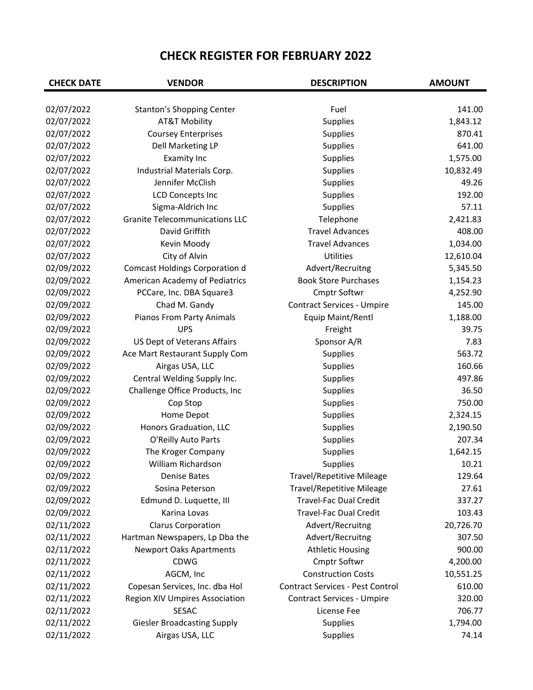| <b>CHECK DATE</b> | <b>VENDOR</b>                         | <b>DESCRIPTION</b>                      | <b>AMOUNT</b> |
|-------------------|---------------------------------------|-----------------------------------------|---------------|
| 02/07/2022        | <b>Stanton's Shopping Center</b>      | Fuel                                    | 141.00        |
| 02/07/2022        | <b>AT&amp;T Mobility</b>              | <b>Supplies</b>                         | 1,843.12      |
| 02/07/2022        | <b>Coursey Enterprises</b>            | Supplies                                | 870.41        |
| 02/07/2022        | Dell Marketing LP                     | <b>Supplies</b>                         | 641.00        |
| 02/07/2022        | <b>Examity Inc</b>                    | <b>Supplies</b>                         | 1,575.00      |
| 02/07/2022        | Industrial Materials Corp.            | Supplies                                | 10,832.49     |
| 02/07/2022        | Jennifer McClish                      | <b>Supplies</b>                         | 49.26         |
| 02/07/2022        | <b>LCD Concepts Inc</b>               | Supplies                                | 192.00        |
| 02/07/2022        | Sigma-Aldrich Inc                     | Supplies                                | 57.11         |
| 02/07/2022        | <b>Granite Telecommunications LLC</b> | Telephone                               | 2,421.83      |
| 02/07/2022        | David Griffith                        | <b>Travel Advances</b>                  | 408.00        |
| 02/07/2022        | Kevin Moody                           | <b>Travel Advances</b>                  | 1,034.00      |
| 02/07/2022        | City of Alvin                         | Utilities                               | 12,610.04     |
| 02/09/2022        | <b>Comcast Holdings Corporation d</b> | Advert/Recruitng                        | 5,345.50      |
| 02/09/2022        | American Academy of Pediatrics        | <b>Book Store Purchases</b>             | 1,154.23      |
| 02/09/2022        | PCCare, Inc. DBA Square3              | Cmptr Softwr                            | 4,252.90      |
| 02/09/2022        | Chad M. Gandy                         | <b>Contract Services - Umpire</b>       | 145.00        |
| 02/09/2022        | Pianos From Party Animals             | Equip Maint/Rentl                       | 1,188.00      |
| 02/09/2022        | <b>UPS</b>                            | Freight                                 | 39.75         |
| 02/09/2022        | US Dept of Veterans Affairs           | Sponsor A/R                             | 7.83          |
| 02/09/2022        | Ace Mart Restaurant Supply Com        | Supplies                                | 563.72        |
| 02/09/2022        | Airgas USA, LLC                       | Supplies                                | 160.66        |
| 02/09/2022        | Central Welding Supply Inc.           | Supplies                                | 497.86        |
| 02/09/2022        | Challenge Office Products, Inc        | Supplies                                | 36.50         |
| 02/09/2022        | Cop Stop                              | Supplies                                | 750.00        |
| 02/09/2022        | Home Depot                            | Supplies                                | 2,324.15      |
| 02/09/2022        | Honors Graduation, LLC                | Supplies                                | 2,190.50      |
| 02/09/2022        | O'Reilly Auto Parts                   | Supplies                                | 207.34        |
| 02/09/2022        | The Kroger Company                    | Supplies                                | 1,642.15      |
| 02/09/2022        | William Richardson                    | <b>Supplies</b>                         | 10.21         |
| 02/09/2022        | Denise Bates                          | <b>Travel/Repetitive Mileage</b>        | 129.64        |
| 02/09/2022        | Sosina Peterson                       | <b>Travel/Repetitive Mileage</b>        | 27.61         |
| 02/09/2022        | Edmund D. Luquette, III               | <b>Travel-Fac Dual Credit</b>           | 337.27        |
| 02/09/2022        | Karina Lovas                          | <b>Travel-Fac Dual Credit</b>           | 103.43        |
| 02/11/2022        | <b>Clarus Corporation</b>             | Advert/Recruitng                        | 20,726.70     |
| 02/11/2022        | Hartman Newspapers, Lp Dba the        | Advert/Recruitng                        | 307.50        |
| 02/11/2022        | <b>Newport Oaks Apartments</b>        | <b>Athletic Housing</b>                 | 900.00        |
| 02/11/2022        | <b>CDWG</b>                           | Cmptr Softwr                            | 4,200.00      |
| 02/11/2022        | AGCM, Inc                             | <b>Construction Costs</b>               | 10,551.25     |
| 02/11/2022        | Copesan Services, Inc. dba Hol        | <b>Contract Services - Pest Control</b> | 610.00        |
| 02/11/2022        | <b>Region XIV Umpires Association</b> | <b>Contract Services - Umpire</b>       | 320.00        |
| 02/11/2022        | <b>SESAC</b>                          | License Fee                             | 706.77        |
| 02/11/2022        | <b>Giesler Broadcasting Supply</b>    | Supplies                                | 1,794.00      |
| 02/11/2022        | Airgas USA, LLC                       | Supplies                                | 74.14         |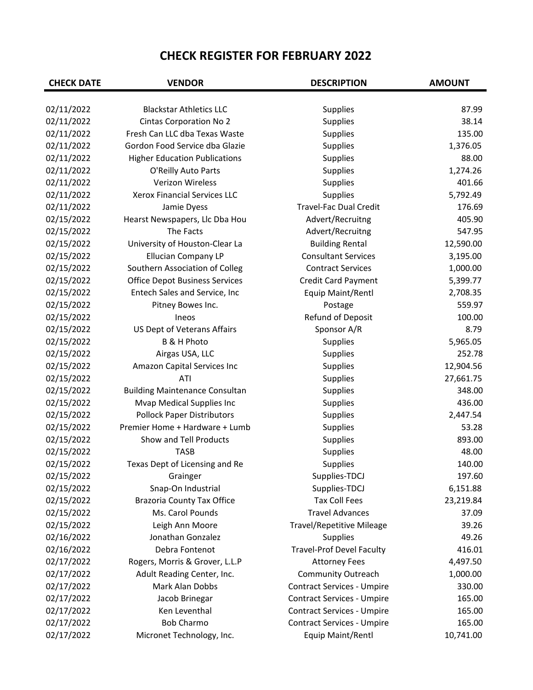| <b>CHECK DATE</b> | <b>VENDOR</b>                         | <b>DESCRIPTION</b>                | <b>AMOUNT</b> |
|-------------------|---------------------------------------|-----------------------------------|---------------|
| 02/11/2022        | <b>Blackstar Athletics LLC</b>        | <b>Supplies</b>                   | 87.99         |
| 02/11/2022        | <b>Cintas Corporation No 2</b>        | Supplies                          | 38.14         |
| 02/11/2022        | Fresh Can LLC dba Texas Waste         | Supplies                          | 135.00        |
| 02/11/2022        | Gordon Food Service dba Glazie        | Supplies                          | 1,376.05      |
| 02/11/2022        | <b>Higher Education Publications</b>  | Supplies                          | 88.00         |
| 02/11/2022        | O'Reilly Auto Parts                   | Supplies                          | 1,274.26      |
| 02/11/2022        | Verizon Wireless                      | Supplies                          | 401.66        |
| 02/11/2022        | <b>Xerox Financial Services LLC</b>   | Supplies                          | 5,792.49      |
| 02/11/2022        | Jamie Dyess                           | Travel-Fac Dual Credit            | 176.69        |
| 02/15/2022        | Hearst Newspapers, Llc Dba Hou        | Advert/Recruitng                  | 405.90        |
| 02/15/2022        | The Facts                             | Advert/Recruitng                  | 547.95        |
| 02/15/2022        | University of Houston-Clear La        | <b>Building Rental</b>            | 12,590.00     |
| 02/15/2022        | <b>Ellucian Company LP</b>            | <b>Consultant Services</b>        | 3,195.00      |
| 02/15/2022        | Southern Association of Colleg        | <b>Contract Services</b>          | 1,000.00      |
| 02/15/2022        | <b>Office Depot Business Services</b> | <b>Credit Card Payment</b>        | 5,399.77      |
| 02/15/2022        | Entech Sales and Service, Inc         | Equip Maint/Rentl                 | 2,708.35      |
| 02/15/2022        | Pitney Bowes Inc.                     | Postage                           | 559.97        |
| 02/15/2022        | Ineos                                 | Refund of Deposit                 | 100.00        |
| 02/15/2022        | US Dept of Veterans Affairs           | Sponsor A/R                       | 8.79          |
| 02/15/2022        | <b>B &amp; H Photo</b>                | Supplies                          | 5,965.05      |
| 02/15/2022        | Airgas USA, LLC                       | Supplies                          | 252.78        |
| 02/15/2022        | Amazon Capital Services Inc           | Supplies                          | 12,904.56     |
| 02/15/2022        | ATI                                   | Supplies                          | 27,661.75     |
| 02/15/2022        | <b>Building Maintenance Consultan</b> | Supplies                          | 348.00        |
| 02/15/2022        | Mvap Medical Supplies Inc             | Supplies                          | 436.00        |
| 02/15/2022        | <b>Pollock Paper Distributors</b>     | Supplies                          | 2,447.54      |
| 02/15/2022        | Premier Home + Hardware + Lumb        | Supplies                          | 53.28         |
| 02/15/2022        | Show and Tell Products                | Supplies                          | 893.00        |
| 02/15/2022        | <b>TASB</b>                           | Supplies                          | 48.00         |
| 02/15/2022        | Texas Dept of Licensing and Re        | Supplies                          | 140.00        |
| 02/15/2022        | Grainger                              | Supplies-TDCJ                     | 197.60        |
| 02/15/2022        | Snap-On Industrial                    | Supplies-TDCJ                     | 6,151.88      |
| 02/15/2022        | <b>Brazoria County Tax Office</b>     | <b>Tax Coll Fees</b>              | 23,219.84     |
| 02/15/2022        | Ms. Carol Pounds                      | <b>Travel Advances</b>            | 37.09         |
| 02/15/2022        | Leigh Ann Moore                       | <b>Travel/Repetitive Mileage</b>  | 39.26         |
| 02/16/2022        | Jonathan Gonzalez                     | <b>Supplies</b>                   | 49.26         |
| 02/16/2022        | Debra Fontenot                        | <b>Travel-Prof Devel Faculty</b>  | 416.01        |
| 02/17/2022        | Rogers, Morris & Grover, L.L.P        | <b>Attorney Fees</b>              | 4,497.50      |
| 02/17/2022        | Adult Reading Center, Inc.            | Community Outreach                | 1,000.00      |
| 02/17/2022        | Mark Alan Dobbs                       | <b>Contract Services - Umpire</b> | 330.00        |
| 02/17/2022        | Jacob Brinegar                        | <b>Contract Services - Umpire</b> | 165.00        |
| 02/17/2022        | Ken Leventhal                         | <b>Contract Services - Umpire</b> | 165.00        |
| 02/17/2022        | <b>Bob Charmo</b>                     | <b>Contract Services - Umpire</b> | 165.00        |
| 02/17/2022        | Micronet Technology, Inc.             | Equip Maint/Rentl                 | 10,741.00     |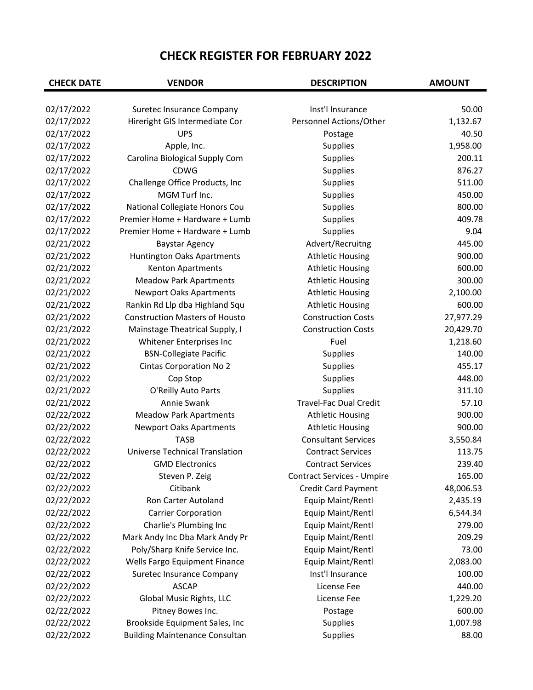| <b>CHECK DATE</b> | <b>VENDOR</b>                         | <b>DESCRIPTION</b>                | <b>AMOUNT</b> |
|-------------------|---------------------------------------|-----------------------------------|---------------|
| 02/17/2022        | Suretec Insurance Company             | Inst'l Insurance                  | 50.00         |
| 02/17/2022        | Hireright GIS Intermediate Cor        | Personnel Actions/Other           | 1,132.67      |
| 02/17/2022        | <b>UPS</b>                            | Postage                           | 40.50         |
| 02/17/2022        | Apple, Inc.                           | Supplies                          | 1,958.00      |
| 02/17/2022        | Carolina Biological Supply Com        | Supplies                          | 200.11        |
| 02/17/2022        | <b>CDWG</b>                           | Supplies                          | 876.27        |
| 02/17/2022        | Challenge Office Products, Inc        | Supplies                          | 511.00        |
| 02/17/2022        | MGM Turf Inc.                         | Supplies                          | 450.00        |
| 02/17/2022        | National Collegiate Honors Cou        | Supplies                          | 800.00        |
| 02/17/2022        | Premier Home + Hardware + Lumb        | Supplies                          | 409.78        |
| 02/17/2022        | Premier Home + Hardware + Lumb        | Supplies                          | 9.04          |
| 02/21/2022        | <b>Baystar Agency</b>                 | Advert/Recruitng                  | 445.00        |
| 02/21/2022        | Huntington Oaks Apartments            | <b>Athletic Housing</b>           | 900.00        |
| 02/21/2022        | Kenton Apartments                     | <b>Athletic Housing</b>           | 600.00        |
| 02/21/2022        | <b>Meadow Park Apartments</b>         | <b>Athletic Housing</b>           | 300.00        |
| 02/21/2022        |                                       |                                   | 2,100.00      |
|                   | <b>Newport Oaks Apartments</b>        | <b>Athletic Housing</b>           |               |
| 02/21/2022        | Rankin Rd Llp dba Highland Squ        | <b>Athletic Housing</b>           | 600.00        |
| 02/21/2022        | <b>Construction Masters of Housto</b> | <b>Construction Costs</b>         | 27,977.29     |
| 02/21/2022        | Mainstage Theatrical Supply, I        | <b>Construction Costs</b>         | 20,429.70     |
| 02/21/2022        | Whitener Enterprises Inc              | Fuel                              | 1,218.60      |
| 02/21/2022        | <b>BSN-Collegiate Pacific</b>         | Supplies                          | 140.00        |
| 02/21/2022        | <b>Cintas Corporation No 2</b>        | Supplies                          | 455.17        |
| 02/21/2022        | Cop Stop                              | Supplies                          | 448.00        |
| 02/21/2022        | O'Reilly Auto Parts                   | Supplies                          | 311.10        |
| 02/21/2022        | Annie Swank                           | Travel-Fac Dual Credit            | 57.10         |
| 02/22/2022        | <b>Meadow Park Apartments</b>         | <b>Athletic Housing</b>           | 900.00        |
| 02/22/2022        | <b>Newport Oaks Apartments</b>        | <b>Athletic Housing</b>           | 900.00        |
| 02/22/2022        | <b>TASB</b>                           | <b>Consultant Services</b>        | 3,550.84      |
| 02/22/2022        | <b>Universe Technical Translation</b> | <b>Contract Services</b>          | 113.75        |
| 02/22/2022        | <b>GMD Electronics</b>                | <b>Contract Services</b>          | 239.40        |
| 02/22/2022        | Steven P. Zeig                        | <b>Contract Services - Umpire</b> | 165.00        |
| 02/22/2022        | Citibank                              | <b>Credit Card Payment</b>        | 48,006.53     |
| 02/22/2022        | Ron Carter Autoland                   | Equip Maint/Rentl                 | 2,435.19      |
| 02/22/2022        | <b>Carrier Corporation</b>            | Equip Maint/Rentl                 | 6,544.34      |
| 02/22/2022        | Charlie's Plumbing Inc                | Equip Maint/Rentl                 | 279.00        |
| 02/22/2022        | Mark Andy Inc Dba Mark Andy Pr        | Equip Maint/Rentl                 | 209.29        |
| 02/22/2022        | Poly/Sharp Knife Service Inc.         | Equip Maint/Rentl                 | 73.00         |
| 02/22/2022        | Wells Fargo Equipment Finance         | Equip Maint/Rentl                 | 2,083.00      |
| 02/22/2022        | Suretec Insurance Company             | Inst'l Insurance                  | 100.00        |
| 02/22/2022        | <b>ASCAP</b>                          | License Fee                       | 440.00        |
| 02/22/2022        | Global Music Rights, LLC              | License Fee                       | 1,229.20      |
| 02/22/2022        | Pitney Bowes Inc.                     | Postage                           | 600.00        |
| 02/22/2022        | Brookside Equipment Sales, Inc        | Supplies                          | 1,007.98      |
|                   |                                       |                                   |               |
| 02/22/2022        | <b>Building Maintenance Consultan</b> | Supplies                          | 88.00         |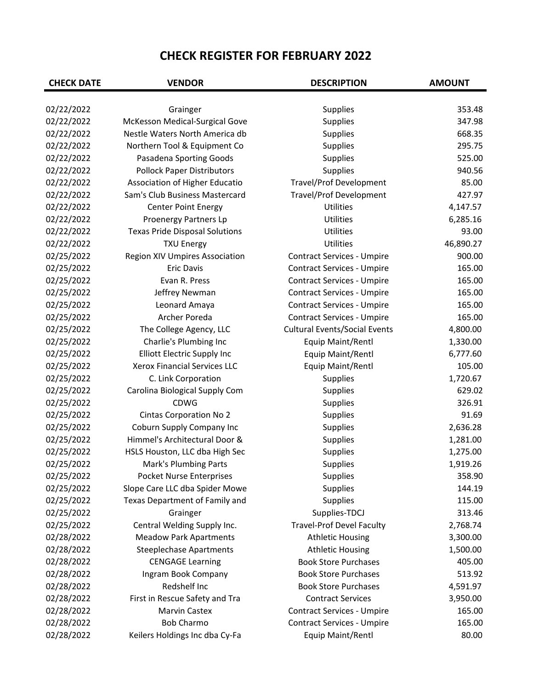| <b>CHECK DATE</b> | <b>VENDOR</b>                         | <b>DESCRIPTION</b>                   | <b>AMOUNT</b> |
|-------------------|---------------------------------------|--------------------------------------|---------------|
|                   |                                       |                                      |               |
| 02/22/2022        | Grainger                              | <b>Supplies</b>                      | 353.48        |
| 02/22/2022        | McKesson Medical-Surgical Gove        | Supplies                             | 347.98        |
| 02/22/2022        | Nestle Waters North America db        | Supplies                             | 668.35        |
| 02/22/2022        | Northern Tool & Equipment Co          | Supplies                             | 295.75        |
| 02/22/2022        | Pasadena Sporting Goods               | Supplies                             | 525.00        |
| 02/22/2022        | <b>Pollock Paper Distributors</b>     | Supplies                             | 940.56        |
| 02/22/2022        | Association of Higher Educatio        | <b>Travel/Prof Development</b>       | 85.00         |
| 02/22/2022        | Sam's Club Business Mastercard        | <b>Travel/Prof Development</b>       | 427.97        |
| 02/22/2022        | <b>Center Point Energy</b>            | Utilities                            | 4,147.57      |
| 02/22/2022        | Proenergy Partners Lp                 | Utilities                            | 6,285.16      |
| 02/22/2022        | <b>Texas Pride Disposal Solutions</b> | Utilities                            | 93.00         |
| 02/22/2022        | <b>TXU Energy</b>                     | Utilities                            | 46,890.27     |
| 02/25/2022        | <b>Region XIV Umpires Association</b> | <b>Contract Services - Umpire</b>    | 900.00        |
| 02/25/2022        | <b>Eric Davis</b>                     | <b>Contract Services - Umpire</b>    | 165.00        |
| 02/25/2022        | Evan R. Press                         | <b>Contract Services - Umpire</b>    | 165.00        |
| 02/25/2022        | Jeffrey Newman                        | <b>Contract Services - Umpire</b>    | 165.00        |
| 02/25/2022        | Leonard Amaya                         | <b>Contract Services - Umpire</b>    | 165.00        |
| 02/25/2022        | Archer Poreda                         | <b>Contract Services - Umpire</b>    | 165.00        |
| 02/25/2022        | The College Agency, LLC               | <b>Cultural Events/Social Events</b> | 4,800.00      |
| 02/25/2022        | Charlie's Plumbing Inc                | Equip Maint/Rentl                    | 1,330.00      |
| 02/25/2022        | Elliott Electric Supply Inc           | Equip Maint/Rentl                    | 6,777.60      |
| 02/25/2022        | <b>Xerox Financial Services LLC</b>   | Equip Maint/Rentl                    | 105.00        |
| 02/25/2022        | C. Link Corporation                   | Supplies                             | 1,720.67      |
| 02/25/2022        | Carolina Biological Supply Com        | Supplies                             | 629.02        |
| 02/25/2022        | <b>CDWG</b>                           | Supplies                             | 326.91        |
| 02/25/2022        | <b>Cintas Corporation No 2</b>        | Supplies                             | 91.69         |
| 02/25/2022        | Coburn Supply Company Inc             | Supplies                             | 2,636.28      |
| 02/25/2022        | Himmel's Architectural Door &         | Supplies                             | 1,281.00      |
| 02/25/2022        | HSLS Houston, LLC dba High Sec        | Supplies                             | 1,275.00      |
| 02/25/2022        | <b>Mark's Plumbing Parts</b>          | <b>Supplies</b>                      | 1,919.26      |
| 02/25/2022        | Pocket Nurse Enterprises              | <b>Supplies</b>                      | 358.90        |
| 02/25/2022        | Slope Care LLC dba Spider Mowe        | Supplies                             | 144.19        |
| 02/25/2022        | Texas Department of Family and        | Supplies                             | 115.00        |
| 02/25/2022        | Grainger                              | Supplies-TDCJ                        | 313.46        |
| 02/25/2022        | Central Welding Supply Inc.           | <b>Travel-Prof Devel Faculty</b>     | 2,768.74      |
| 02/28/2022        | <b>Meadow Park Apartments</b>         | <b>Athletic Housing</b>              | 3,300.00      |
| 02/28/2022        | <b>Steeplechase Apartments</b>        | <b>Athletic Housing</b>              | 1,500.00      |
| 02/28/2022        | <b>CENGAGE Learning</b>               | <b>Book Store Purchases</b>          | 405.00        |
| 02/28/2022        | Ingram Book Company                   | <b>Book Store Purchases</b>          | 513.92        |
| 02/28/2022        | Redshelf Inc                          | <b>Book Store Purchases</b>          | 4,591.97      |
| 02/28/2022        | First in Rescue Safety and Tra        | <b>Contract Services</b>             | 3,950.00      |
| 02/28/2022        | <b>Marvin Castex</b>                  | <b>Contract Services - Umpire</b>    | 165.00        |
| 02/28/2022        | <b>Bob Charmo</b>                     | <b>Contract Services - Umpire</b>    | 165.00        |
| 02/28/2022        | Keilers Holdings Inc dba Cy-Fa        | Equip Maint/Rentl                    | 80.00         |